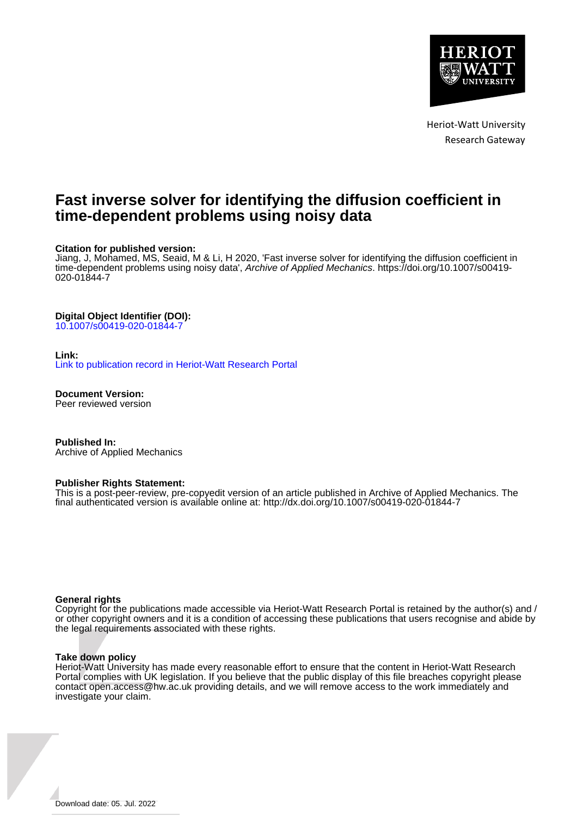

Heriot-Watt University Research Gateway

# **Fast inverse solver for identifying the diffusion coefficient in time-dependent problems using noisy data**

### **Citation for published version:**

Jiang, J, Mohamed, MS, Seaid, M & Li, H 2020, 'Fast inverse solver for identifying the diffusion coefficient in time-dependent problems using noisy data', Archive of Applied Mechanics. [https://doi.org/10.1007/s00419-](https://doi.org/10.1007/s00419-020-01844-7) [020-01844-7](https://doi.org/10.1007/s00419-020-01844-7)

### **Digital Object Identifier (DOI):**

[10.1007/s00419-020-01844-7](https://doi.org/10.1007/s00419-020-01844-7)

#### **Link:**

[Link to publication record in Heriot-Watt Research Portal](https://researchportal.hw.ac.uk/en/publications/c74742f0-5f98-43f7-a94c-83e58377252a)

**Document Version:** Peer reviewed version

**Published In:** Archive of Applied Mechanics

#### **Publisher Rights Statement:**

This is a post-peer-review, pre-copyedit version of an article published in Archive of Applied Mechanics. The final authenticated version is available online at: http://dx.doi.org/10.1007/s00419-020-01844-7

#### **General rights**

Copyright for the publications made accessible via Heriot-Watt Research Portal is retained by the author(s) and / or other copyright owners and it is a condition of accessing these publications that users recognise and abide by the legal requirements associated with these rights.

#### **Take down policy**

Heriot-Watt University has made every reasonable effort to ensure that the content in Heriot-Watt Research Portal complies with UK legislation. If you believe that the public display of this file breaches copyright please contact open.access@hw.ac.uk providing details, and we will remove access to the work immediately and investigate your claim.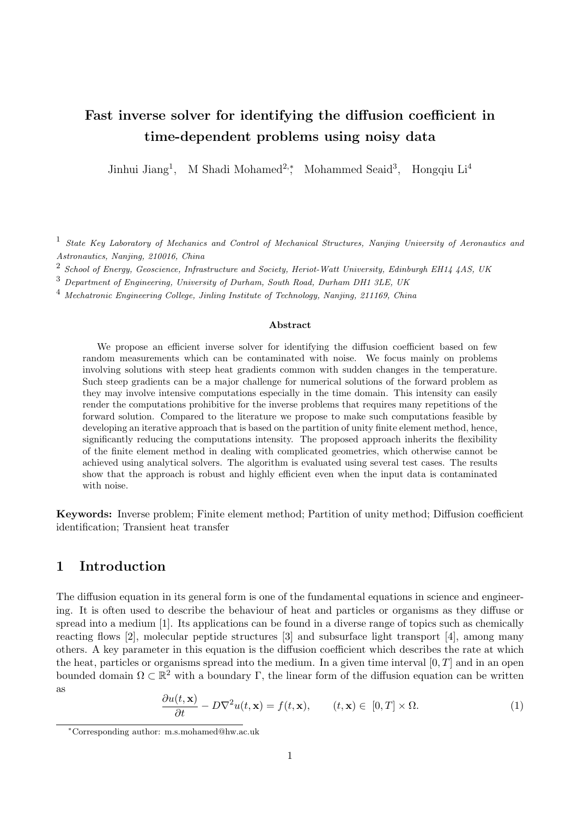# Fast inverse solver for identifying the diffusion coefficient in time-dependent problems using noisy data

Jinhui Jiang<sup>1</sup>, M Shadi Mohamed<sup>2,</sup>\*, Mohammed Seaid<sup>3</sup>, Hongqiu Li<sup>4</sup>

<sup>1</sup> State Key Laboratory of Mechanics and Control of Mechanical Structures, Nanjing University of Aeronautics and Astronautics, Nanjing, 210016, China

 $^2$  School of Energy, Geoscience, Infrastructure and Society, Heriot-Watt University, Edinburgh EH14 4AS, UK

<sup>3</sup> Department of Engineering, University of Durham, South Road, Durham DH1 3LE, UK

<sup>4</sup> Mechatronic Engineering College, Jinling Institute of Technology, Nanjing, 211169, China

#### Abstract

We propose an efficient inverse solver for identifying the diffusion coefficient based on few random measurements which can be contaminated with noise. We focus mainly on problems involving solutions with steep heat gradients common with sudden changes in the temperature. Such steep gradients can be a major challenge for numerical solutions of the forward problem as they may involve intensive computations especially in the time domain. This intensity can easily render the computations prohibitive for the inverse problems that requires many repetitions of the forward solution. Compared to the literature we propose to make such computations feasible by developing an iterative approach that is based on the partition of unity finite element method, hence, significantly reducing the computations intensity. The proposed approach inherits the flexibility of the finite element method in dealing with complicated geometries, which otherwise cannot be achieved using analytical solvers. The algorithm is evaluated using several test cases. The results show that the approach is robust and highly efficient even when the input data is contaminated with noise.

Keywords: Inverse problem; Finite element method; Partition of unity method; Diffusion coefficient identification; Transient heat transfer

# 1 Introduction

The diffusion equation in its general form is one of the fundamental equations in science and engineering. It is often used to describe the behaviour of heat and particles or organisms as they diffuse or spread into a medium [1]. Its applications can be found in a diverse range of topics such as chemically reacting flows [2], molecular peptide structures [3] and subsurface light transport [4], among many others. A key parameter in this equation is the diffusion coefficient which describes the rate at which the heat, particles or organisms spread into the medium. In a given time interval  $[0, T]$  and in an open bounded domain  $\Omega \subset \mathbb{R}^2$  with a boundary  $\Gamma$ , the linear form of the diffusion equation can be written as

$$
\frac{\partial u(t, \mathbf{x})}{\partial t} - D\nabla^2 u(t, \mathbf{x}) = f(t, \mathbf{x}), \qquad (t, \mathbf{x}) \in [0, T] \times \Omega.
$$
 (1)

<sup>∗</sup>Corresponding author: m.s.mohamed@hw.ac.uk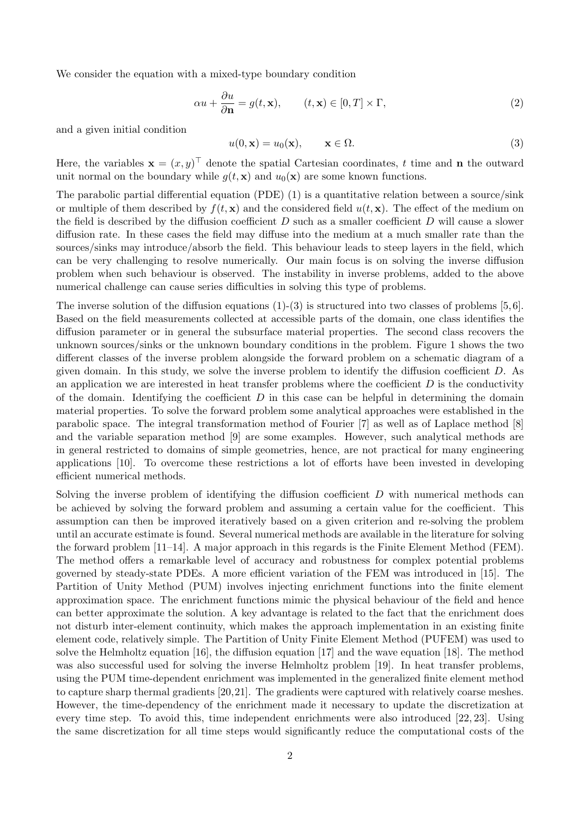We consider the equation with a mixed-type boundary condition

$$
\alpha u + \frac{\partial u}{\partial \mathbf{n}} = g(t, \mathbf{x}), \qquad (t, \mathbf{x}) \in [0, T] \times \Gamma,
$$
\n(2)

and a given initial condition

$$
u(0, \mathbf{x}) = u_0(\mathbf{x}), \qquad \mathbf{x} \in \Omega.
$$
 (3)

Here, the variables  $\mathbf{x} = (x, y)^{\top}$  denote the spatial Cartesian coordinates, t time and n the outward unit normal on the boundary while  $g(t, \mathbf{x})$  and  $u_0(\mathbf{x})$  are some known functions.

The parabolic partial differential equation (PDE) (1) is a quantitative relation between a source/sink or multiple of them described by  $f(t, x)$  and the considered field  $u(t, x)$ . The effect of the medium on the field is described by the diffusion coefficient  $D$  such as a smaller coefficient  $D$  will cause a slower diffusion rate. In these cases the field may diffuse into the medium at a much smaller rate than the sources/sinks may introduce/absorb the field. This behaviour leads to steep layers in the field, which can be very challenging to resolve numerically. Our main focus is on solving the inverse diffusion problem when such behaviour is observed. The instability in inverse problems, added to the above numerical challenge can cause series difficulties in solving this type of problems.

The inverse solution of the diffusion equations  $(1)-(3)$  is structured into two classes of problems [5,6]. Based on the field measurements collected at accessible parts of the domain, one class identifies the diffusion parameter or in general the subsurface material properties. The second class recovers the unknown sources/sinks or the unknown boundary conditions in the problem. Figure 1 shows the two different classes of the inverse problem alongside the forward problem on a schematic diagram of a given domain. In this study, we solve the inverse problem to identify the diffusion coefficient  $D$ . As an application we are interested in heat transfer problems where the coefficient  $D$  is the conductivity of the domain. Identifying the coefficient  $D$  in this case can be helpful in determining the domain material properties. To solve the forward problem some analytical approaches were established in the parabolic space. The integral transformation method of Fourier [7] as well as of Laplace method [8] and the variable separation method [9] are some examples. However, such analytical methods are in general restricted to domains of simple geometries, hence, are not practical for many engineering applications [10]. To overcome these restrictions a lot of efforts have been invested in developing efficient numerical methods.

Solving the inverse problem of identifying the diffusion coefficient D with numerical methods can be achieved by solving the forward problem and assuming a certain value for the coefficient. This assumption can then be improved iteratively based on a given criterion and re-solving the problem until an accurate estimate is found. Several numerical methods are available in the literature for solving the forward problem [11–14]. A major approach in this regards is the Finite Element Method (FEM). The method offers a remarkable level of accuracy and robustness for complex potential problems governed by steady-state PDEs. A more efficient variation of the FEM was introduced in [15]. The Partition of Unity Method (PUM) involves injecting enrichment functions into the finite element approximation space. The enrichment functions mimic the physical behaviour of the field and hence can better approximate the solution. A key advantage is related to the fact that the enrichment does not disturb inter-element continuity, which makes the approach implementation in an existing finite element code, relatively simple. The Partition of Unity Finite Element Method (PUFEM) was used to solve the Helmholtz equation [16], the diffusion equation [17] and the wave equation [18]. The method was also successful used for solving the inverse Helmholtz problem [19]. In heat transfer problems, using the PUM time-dependent enrichment was implemented in the generalized finite element method to capture sharp thermal gradients [20,21]. The gradients were captured with relatively coarse meshes. However, the time-dependency of the enrichment made it necessary to update the discretization at every time step. To avoid this, time independent enrichments were also introduced [22, 23]. Using the same discretization for all time steps would significantly reduce the computational costs of the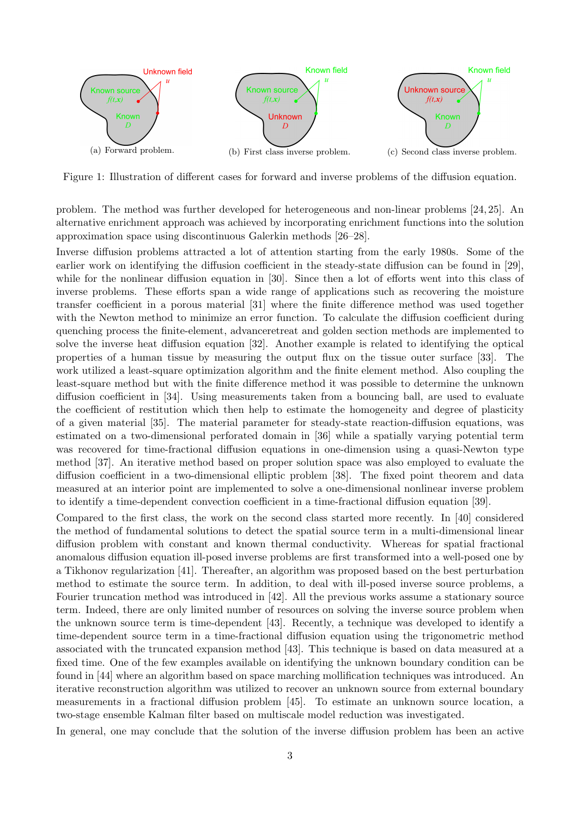

Figure 1: Illustration of different cases for forward and inverse problems of the diffusion equation.

problem. The method was further developed for heterogeneous and non-linear problems [24, 25]. An alternative enrichment approach was achieved by incorporating enrichment functions into the solution approximation space using discontinuous Galerkin methods [26–28].

Inverse diffusion problems attracted a lot of attention starting from the early 1980s. Some of the earlier work on identifying the diffusion coefficient in the steady-state diffusion can be found in [29], while for the nonlinear diffusion equation in [30]. Since then a lot of efforts went into this class of inverse problems. These efforts span a wide range of applications such as recovering the moisture transfer coefficient in a porous material [31] where the finite difference method was used together with the Newton method to minimize an error function. To calculate the diffusion coefficient during quenching process the finite-element, advanceretreat and golden section methods are implemented to solve the inverse heat diffusion equation [32]. Another example is related to identifying the optical properties of a human tissue by measuring the output flux on the tissue outer surface [33]. The work utilized a least-square optimization algorithm and the finite element method. Also coupling the least-square method but with the finite difference method it was possible to determine the unknown diffusion coefficient in [34]. Using measurements taken from a bouncing ball, are used to evaluate the coefficient of restitution which then help to estimate the homogeneity and degree of plasticity of a given material [35]. The material parameter for steady-state reaction-diffusion equations, was estimated on a two-dimensional perforated domain in [36] while a spatially varying potential term was recovered for time-fractional diffusion equations in one-dimension using a quasi-Newton type method [37]. An iterative method based on proper solution space was also employed to evaluate the diffusion coefficient in a two-dimensional elliptic problem [38]. The fixed point theorem and data measured at an interior point are implemented to solve a one-dimensional nonlinear inverse problem to identify a time-dependent convection coefficient in a time-fractional diffusion equation [39].

Compared to the first class, the work on the second class started more recently. In [40] considered the method of fundamental solutions to detect the spatial source term in a multi-dimensional linear diffusion problem with constant and known thermal conductivity. Whereas for spatial fractional anomalous diffusion equation ill-posed inverse problems are first transformed into a well-posed one by a Tikhonov regularization [41]. Thereafter, an algorithm was proposed based on the best perturbation method to estimate the source term. In addition, to deal with ill-posed inverse source problems, a Fourier truncation method was introduced in [42]. All the previous works assume a stationary source term. Indeed, there are only limited number of resources on solving the inverse source problem when the unknown source term is time-dependent [43]. Recently, a technique was developed to identify a time-dependent source term in a time-fractional diffusion equation using the trigonometric method associated with the truncated expansion method [43]. This technique is based on data measured at a fixed time. One of the few examples available on identifying the unknown boundary condition can be found in [44] where an algorithm based on space marching mollification techniques was introduced. An iterative reconstruction algorithm was utilized to recover an unknown source from external boundary measurements in a fractional diffusion problem [45]. To estimate an unknown source location, a two-stage ensemble Kalman filter based on multiscale model reduction was investigated.

In general, one may conclude that the solution of the inverse diffusion problem has been an active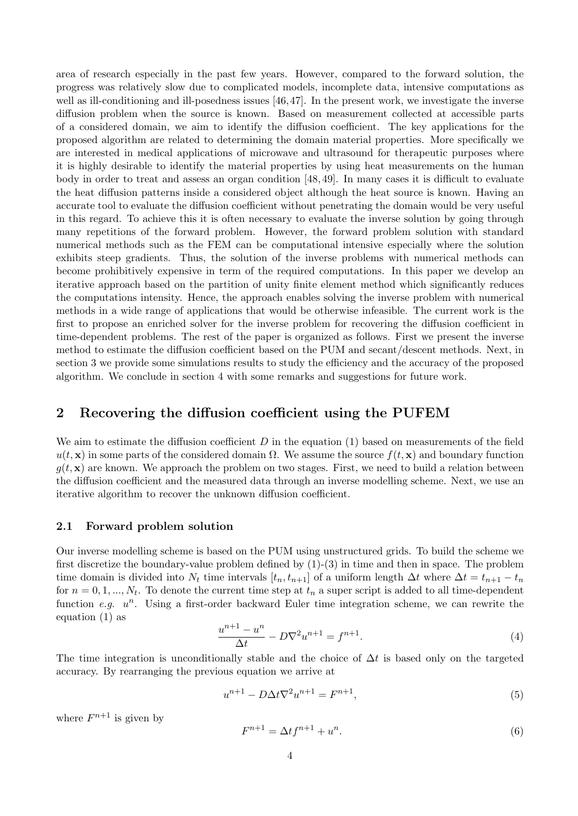area of research especially in the past few years. However, compared to the forward solution, the progress was relatively slow due to complicated models, incomplete data, intensive computations as well as ill-conditioning and ill-posedness issues [46,47]. In the present work, we investigate the inverse diffusion problem when the source is known. Based on measurement collected at accessible parts of a considered domain, we aim to identify the diffusion coefficient. The key applications for the proposed algorithm are related to determining the domain material properties. More specifically we are interested in medical applications of microwave and ultrasound for therapeutic purposes where it is highly desirable to identify the material properties by using heat measurements on the human body in order to treat and assess an organ condition [48, 49]. In many cases it is difficult to evaluate the heat diffusion patterns inside a considered object although the heat source is known. Having an accurate tool to evaluate the diffusion coefficient without penetrating the domain would be very useful in this regard. To achieve this it is often necessary to evaluate the inverse solution by going through many repetitions of the forward problem. However, the forward problem solution with standard numerical methods such as the FEM can be computational intensive especially where the solution exhibits steep gradients. Thus, the solution of the inverse problems with numerical methods can become prohibitively expensive in term of the required computations. In this paper we develop an iterative approach based on the partition of unity finite element method which significantly reduces the computations intensity. Hence, the approach enables solving the inverse problem with numerical methods in a wide range of applications that would be otherwise infeasible. The current work is the first to propose an enriched solver for the inverse problem for recovering the diffusion coefficient in time-dependent problems. The rest of the paper is organized as follows. First we present the inverse method to estimate the diffusion coefficient based on the PUM and secant/descent methods. Next, in section 3 we provide some simulations results to study the efficiency and the accuracy of the proposed algorithm. We conclude in section 4 with some remarks and suggestions for future work.

# 2 Recovering the diffusion coefficient using the PUFEM

We aim to estimate the diffusion coefficient  $D$  in the equation (1) based on measurements of the field  $u(t, \mathbf{x})$  in some parts of the considered domain  $\Omega$ . We assume the source  $f(t, \mathbf{x})$  and boundary function  $g(t, \mathbf{x})$  are known. We approach the problem on two stages. First, we need to build a relation between the diffusion coefficient and the measured data through an inverse modelling scheme. Next, we use an iterative algorithm to recover the unknown diffusion coefficient.

### 2.1 Forward problem solution

Our inverse modelling scheme is based on the PUM using unstructured grids. To build the scheme we first discretize the boundary-value problem defined by  $(1)-(3)$  in time and then in space. The problem time domain is divided into  $N_t$  time intervals  $[t_n, t_{n+1}]$  of a uniform length  $\Delta t$  where  $\Delta t = t_{n+1} - t_n$ for  $n = 0, 1, ..., N_t$ . To denote the current time step at  $t_n$  a super script is added to all time-dependent function e.g.  $u^n$ . Using a first-order backward Euler time integration scheme, we can rewrite the equation (1) as

$$
\frac{u^{n+1} - u^n}{\Delta t} - D\nabla^2 u^{n+1} = f^{n+1}.
$$
\n(4)

The time integration is unconditionally stable and the choice of  $\Delta t$  is based only on the targeted accuracy. By rearranging the previous equation we arrive at

$$
u^{n+1} - D\Delta t \nabla^2 u^{n+1} = F^{n+1},\tag{5}
$$

where  $F^{n+1}$  is given by

$$
F^{n+1} = \Delta t f^{n+1} + u^n.
$$
\n(6)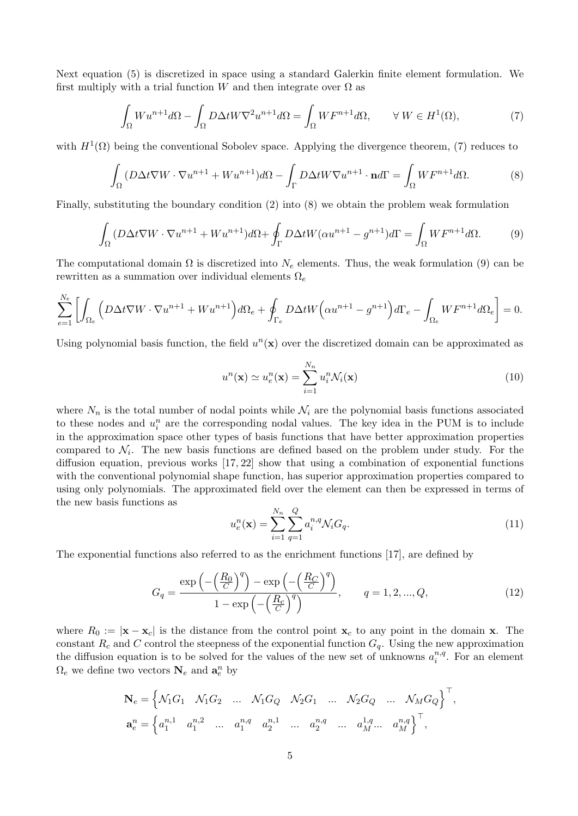Next equation (5) is discretized in space using a standard Galerkin finite element formulation. We first multiply with a trial function W and then integrate over  $\Omega$  as

$$
\int_{\Omega} W u^{n+1} d\Omega - \int_{\Omega} D\Delta t W \nabla^2 u^{n+1} d\Omega = \int_{\Omega} W F^{n+1} d\Omega, \qquad \forall W \in H^1(\Omega),\tag{7}
$$

with  $H^1(\Omega)$  being the conventional Sobolev space. Applying the divergence theorem, (7) reduces to

$$
\int_{\Omega} (D\Delta t \nabla W \cdot \nabla u^{n+1} + W u^{n+1}) d\Omega - \int_{\Gamma} D\Delta t W \nabla u^{n+1} \cdot \mathbf{n} d\Gamma = \int_{\Omega} W F^{n+1} d\Omega. \tag{8}
$$

Finally, substituting the boundary condition (2) into (8) we obtain the problem weak formulation

$$
\int_{\Omega} (D\Delta t \nabla W \cdot \nabla u^{n+1} + W u^{n+1}) d\Omega + \oint_{\Gamma} D\Delta t W (\alpha u^{n+1} - g^{n+1}) d\Gamma = \int_{\Omega} W F^{n+1} d\Omega. \tag{9}
$$

The computational domain  $\Omega$  is discretized into  $N_e$  elements. Thus, the weak formulation (9) can be rewritten as a summation over individual elements  $\Omega_e$ 

$$
\sum_{e=1}^{N_e} \left[ \int_{\Omega_e} \left( D\Delta t \nabla W \cdot \nabla u^{n+1} + W u^{n+1} \right) d\Omega_e + \oint_{\Gamma_e} D\Delta t W \left( \alpha u^{n+1} - g^{n+1} \right) d\Gamma_e - \int_{\Omega_e} W F^{n+1} d\Omega_e \right] = 0.
$$

Using polynomial basis function, the field  $u^n(x)$  over the discretized domain can be approximated as

$$
u^{n}(\mathbf{x}) \simeq u_{e}^{n}(\mathbf{x}) = \sum_{i=1}^{N_{n}} u_{i}^{n} \mathcal{N}_{i}(\mathbf{x})
$$
\n(10)

where  $N_n$  is the total number of nodal points while  $\mathcal{N}_i$  are the polynomial basis functions associated to these nodes and  $u_i^n$  are the corresponding nodal values. The key idea in the PUM is to include in the approximation space other types of basis functions that have better approximation properties compared to  $\mathcal{N}_i$ . The new basis functions are defined based on the problem under study. For the diffusion equation, previous works [17, 22] show that using a combination of exponential functions with the conventional polynomial shape function, has superior approximation properties compared to using only polynomials. The approximated field over the element can then be expressed in terms of the new basis functions as

$$
u_e^n(\mathbf{x}) = \sum_{i=1}^{N_n} \sum_{q=1}^{Q} a_i^{n,q} \mathcal{N}_i G_q.
$$
 (11)

The exponential functions also referred to as the enrichment functions [17], are defined by

$$
G_q = \frac{\exp\left(-\left(\frac{R_0}{C}\right)^q\right) - \exp\left(-\left(\frac{R_C}{C}\right)^q\right)}{1 - \exp\left(-\left(\frac{R_C}{C}\right)^q\right)}, \qquad q = 1, 2, ..., Q,
$$
\n(12)

where  $R_0 := |\mathbf{x} - \mathbf{x}_c|$  is the distance from the control point  $\mathbf{x}_c$  to any point in the domain x. The constant  $R_c$  and C control the steepness of the exponential function  $G_q$ . Using the new approximation the diffusion equation is to be solved for the values of the new set of unknowns  $a_i^{n,q}$  $i^{n,q}$ . For an element  $\Omega_e$  we define two vectors  $\mathbf{N}_e$  and  $\mathbf{a}_e^n$  by

$$
\mathbf{N}_e = \begin{cases} \mathcal{N}_1 G_1 & \mathcal{N}_1 G_2 & \dots & \mathcal{N}_1 G_Q & \mathcal{N}_2 G_1 & \dots & \mathcal{N}_2 G_Q & \dots & \mathcal{N}_M G_Q \end{cases}^{\top},
$$
  

$$
\mathbf{a}_e^n = \begin{cases} a_1^{n,1} & a_1^{n,2} & \dots & a_1^{n,q} & a_2^{n,1} & \dots & a_2^{n,q} & \dots & a_M^{1,q} \dots & a_M^{n,q} \end{cases}^{\top},
$$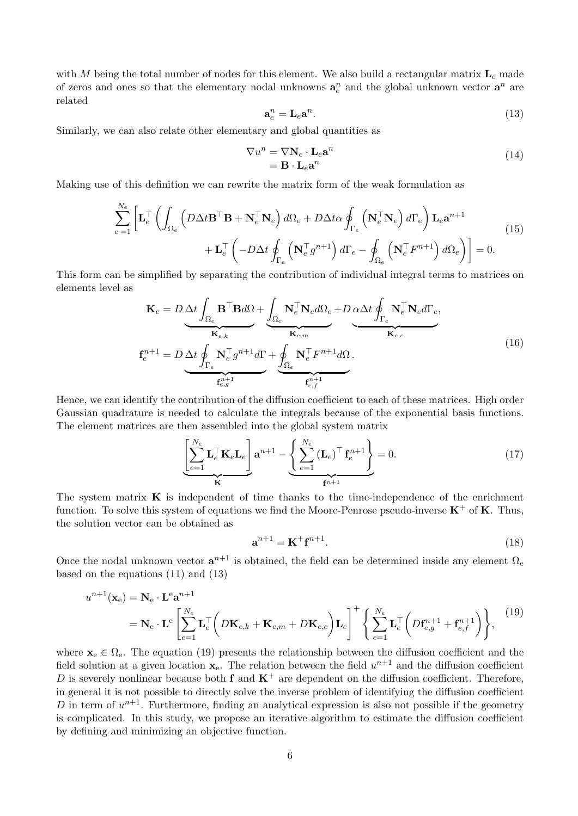with M being the total number of nodes for this element. We also build a rectangular matrix  $L_e$  made of zeros and ones so that the elementary nodal unknowns  $a_e^n$  and the global unknown vector  $a^n$  are related

$$
\mathbf{a}_e^n = \mathbf{L}_e \mathbf{a}^n. \tag{13}
$$

Similarly, we can also relate other elementary and global quantities as

$$
\nabla u^n = \nabla \mathbf{N}_e \cdot \mathbf{L}_e \mathbf{a}^n
$$
  
=  $\mathbf{B} \cdot \mathbf{L}_e \mathbf{a}^n$  (14)

Making use of this definition we can rewrite the matrix form of the weak formulation as

$$
\sum_{e=1}^{N_e} \left[ \mathbf{L}_e^{\top} \left( \int_{\Omega_e} \left( D \Delta t \mathbf{B}^{\top} \mathbf{B} + \mathbf{N}_e^{\top} \mathbf{N}_e \right) d\Omega_e + D \Delta t \alpha \oint_{\Gamma_e} \left( \mathbf{N}_e^{\top} \mathbf{N}_e \right) d\Gamma_e \right) \mathbf{L}_e \mathbf{a}^{n+1} + \mathbf{L}_e^{\top} \left( -D \Delta t \oint_{\Gamma_e} \left( \mathbf{N}_e^{\top} g^{n+1} \right) d\Gamma_e - \oint_{\Omega_e} \left( \mathbf{N}_e^{\top} F^{n+1} \right) d\Omega_e \right) \right] = 0.
$$
\n(15)

This form can be simplified by separating the contribution of individual integral terms to matrices on elements level as

$$
\mathbf{K}_{e} = D \underbrace{\Delta t \int_{\Omega_{e}} \mathbf{B}^{\top} \mathbf{B} d\Omega}_{\mathbf{K}_{e,k}} + \underbrace{\int_{\Omega_{e}} \mathbf{N}_{e}^{\top} \mathbf{N}_{e} d\Omega_{e}}_{\mathbf{K}_{e,m}} + D \underbrace{\Delta \Delta t \oint_{\Gamma_{e}} \mathbf{N}_{e}^{\top} \mathbf{N}_{e} d\Gamma_{e}}_{\mathbf{K}_{e,c}},
$$
\n
$$
\mathbf{f}_{e}^{n+1} = D \underbrace{\Delta t \oint_{\Gamma_{e}} \mathbf{N}_{e}^{\top} g^{n+1} d\Gamma}_{\mathbf{f}_{e,j}^{n+1}} + \underbrace{\oint_{\Omega_{e}} \mathbf{N}_{e}^{\top} F^{n+1} d\Omega}_{\mathbf{f}_{e,f}^{n+1}}.
$$
\n(16)

Hence, we can identify the contribution of the diffusion coefficient to each of these matrices. High order Gaussian quadrature is needed to calculate the integrals because of the exponential basis functions. The element matrices are then assembled into the global system matrix

$$
\underbrace{\left[\sum_{e=1}^{N_e} \mathbf{L}_e^{\top} \mathbf{K}_e \mathbf{L}_e \right]}_{\mathbf{K}} \mathbf{a}^{n+1} - \underbrace{\left\{\sum_{e=1}^{N_e} (\mathbf{L}_e)^{\top} \mathbf{f}_e^{n+1} \right\}}_{\mathbf{f}^{n+1}} = 0. \tag{17}
$$

The system matrix  $\bf{K}$  is independent of time thanks to the time-independence of the enrichment function. To solve this system of equations we find the Moore-Penrose pseudo-inverse  $K^+$  of K. Thus, the solution vector can be obtained as

$$
\mathbf{a}^{n+1} = \mathbf{K}^+ \mathbf{f}^{n+1}.\tag{18}
$$

Once the nodal unknown vector  $a^{n+1}$  is obtained, the field can be determined inside any element  $\Omega_{e}$ based on the equations (11) and (13)

$$
u^{n+1}(\mathbf{x}_e) = \mathbf{N}_e \cdot \mathbf{L}^e \mathbf{a}^{n+1}
$$
  
=  $\mathbf{N}_e \cdot \mathbf{L}^e \left[ \sum_{e=1}^{N_e} \mathbf{L}_e^\top \left( D\mathbf{K}_{e,k} + \mathbf{K}_{e,m} + D\mathbf{K}_{e,c} \right) \mathbf{L}_e \right]^\top \left\{ \sum_{e=1}^{N_e} \mathbf{L}_e^\top \left( D\mathbf{f}_{e,g}^{n+1} + \mathbf{f}_{e,f}^{n+1} \right) \right\},$  (19)

where  $\mathbf{x}_{e} \in \Omega_{e}$ . The equation (19) presents the relationship between the diffusion coefficient and the field solution at a given location  $\mathbf{x}_{e}$ . The relation between the field  $u^{n+1}$  and the diffusion coefficient D is severely nonlinear because both f and  $K^+$  are dependent on the diffusion coefficient. Therefore, in general it is not possible to directly solve the inverse problem of identifying the diffusion coefficient D in term of  $u^{n+1}$ . Furthermore, finding an analytical expression is also not possible if the geometry is complicated. In this study, we propose an iterative algorithm to estimate the diffusion coefficient by defining and minimizing an objective function.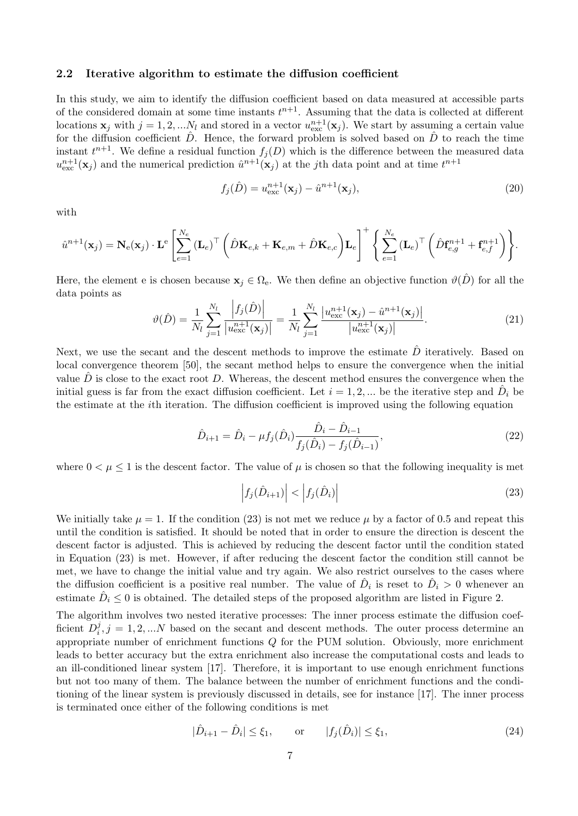### 2.2 Iterative algorithm to estimate the diffusion coefficient

In this study, we aim to identify the diffusion coefficient based on data measured at accessible parts of the considered domain at some time instants  $t^{n+1}$ . Assuming that the data is collected at different locations  $\mathbf{x}_j$  with  $j = 1, 2, \dots N_l$  and stored in a vector  $u_{\text{exc}}^{n+1}(\mathbf{x}_j)$ . We start by assuming a certain value for the diffusion coefficient  $\hat{D}$ . Hence, the forward problem is solved based on  $\hat{D}$  to reach the time instant  $t^{n+1}$ . We define a residual function  $f_j(D)$  which is the difference between the measured data  $u_{\text{exc}}^{n+1}(\mathbf{x}_j)$  and the numerical prediction  $\hat{u}^{n+1}(\mathbf{x}_j)$  at the j<sup>th</sup> data point and at time  $t^{n+1}$ 

$$
f_j(\hat{D}) = u_{\text{exc}}^{n+1}(\mathbf{x}_j) - \hat{u}^{n+1}(\mathbf{x}_j),\tag{20}
$$

with

$$
\hat{u}^{n+1}(\mathbf{x}_j) = \mathbf{N}_{\mathrm{e}}(\mathbf{x}_j) \cdot \mathbf{L}^{\mathrm{e}} \left[ \sum_{e=1}^{N_e} (\mathbf{L}_e)^{\top} \left( \hat{D} \mathbf{K}_{e,k} + \mathbf{K}_{e,m} + \hat{D} \mathbf{K}_{e,c} \right) \mathbf{L}_e \right]^+ \left\{ \sum_{e=1}^{N_e} (\mathbf{L}_e)^{\top} \left( \hat{D} \mathbf{f}_{e,g}^{n+1} + \mathbf{f}_{e,f}^{n+1} \right) \right\}.
$$

Here, the element e is chosen because  $x_i \in \Omega_e$ . We then define an objective function  $\vartheta(\hat{D})$  for all the data points as

$$
\vartheta(\hat{D}) = \frac{1}{N_l} \sum_{j=1}^{N_l} \frac{\left| f_j(\hat{D}) \right|}{\left| u_{\text{exc}}^{n+1}(\mathbf{x}_j) \right|} = \frac{1}{N_l} \sum_{j=1}^{N_l} \frac{\left| u_{\text{exc}}^{n+1}(\mathbf{x}_j) - \hat{u}^{n+1}(\mathbf{x}_j) \right|}{\left| u_{\text{exc}}^{n+1}(\mathbf{x}_j) \right|}.
$$
(21)

Next, we use the secant and the descent methods to improve the estimate  $\hat{D}$  iteratively. Based on local convergence theorem [50], the secant method helps to ensure the convergence when the initial value  $\ddot{D}$  is close to the exact root D. Whereas, the descent method ensures the convergence when the initial guess is far from the exact diffusion coefficient. Let  $i = 1, 2, ...$  be the iterative step and  $\hat{D}_i$  be the estimate at the ith iteration. The diffusion coefficient is improved using the following equation

$$
\hat{D}_{i+1} = \hat{D}_i - \mu f_j(\hat{D}_i) \frac{\hat{D}_i - \hat{D}_{i-1}}{f_j(\hat{D}_i) - f_j(\hat{D}_{i-1})},\tag{22}
$$

where  $0 < \mu \leq 1$  is the descent factor. The value of  $\mu$  is chosen so that the following inequality is met

$$
\left|f_j(\hat{D}_{i+1})\right| < \left|f_j(\hat{D}_i)\right| \tag{23}
$$

We initially take  $\mu = 1$ . If the condition (23) is not met we reduce  $\mu$  by a factor of 0.5 and repeat this until the condition is satisfied. It should be noted that in order to ensure the direction is descent the descent factor is adjusted. This is achieved by reducing the descent factor until the condition stated in Equation (23) is met. However, if after reducing the descent factor the condition still cannot be met, we have to change the initial value and try again. We also restrict ourselves to the cases where the diffusion coefficient is a positive real number. The value of  $\hat{D}_i$  is reset to  $\hat{D}_i > 0$  whenever an estimate  $\hat{D}_i \leq 0$  is obtained. The detailed steps of the proposed algorithm are listed in Figure 2.

The algorithm involves two nested iterative processes: The inner process estimate the diffusion coefficient  $D_i^j$  $i,j=1,2,...N$  based on the secant and descent methods. The outer process determine an appropriate number of enrichment functions Q for the PUM solution. Obviously, more enrichment leads to better accuracy but the extra enrichment also increase the computational costs and leads to an ill-conditioned linear system [17]. Therefore, it is important to use enough enrichment functions but not too many of them. The balance between the number of enrichment functions and the conditioning of the linear system is previously discussed in details, see for instance [17]. The inner process is terminated once either of the following conditions is met

$$
|\hat{D}_{i+1} - \hat{D}_i| \le \xi_1, \qquad \text{or} \qquad |f_j(\hat{D}_i)| \le \xi_1,\tag{24}
$$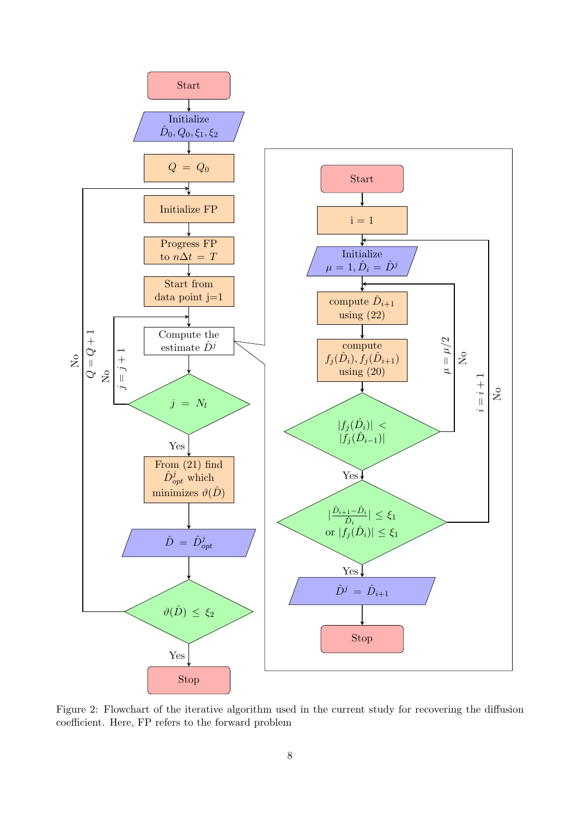

Figure 2: Flowchart of the iterative algorithm used in the current study for recovering the diffusion coefficient. Here, FP refers to the forward problem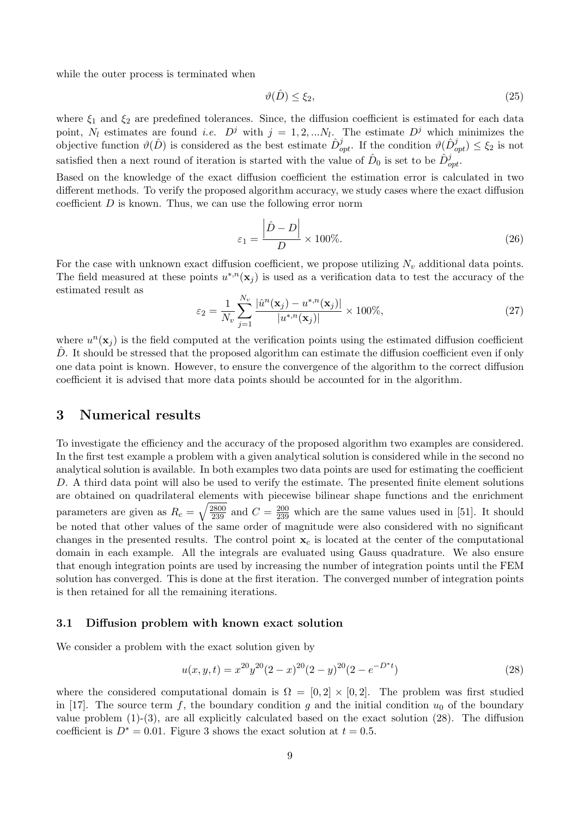while the outer process is terminated when

$$
\vartheta(\hat{D}) \le \xi_2,\tag{25}
$$

where  $\xi_1$  and  $\xi_2$  are predefined tolerances. Since, the diffusion coefficient is estimated for each data point,  $N_l$  estimates are found *i.e.*  $D^j$  with  $j = 1, 2, ...N_l$ . The estimate  $D^j$  which minimizes the objective function  $\vartheta(\hat{D})$  is considered as the best estimate  $\hat{D}_{opt}^j$ . If the condition  $\vartheta(\hat{D}_{opt}^j) \le \xi_2$  is not satisfied then a next round of iteration is started with the value of  $\hat{D}_0$  is set to be  $\hat{D}_{opt}^j$ .

Based on the knowledge of the exact diffusion coefficient the estimation error is calculated in two different methods. To verify the proposed algorithm accuracy, we study cases where the exact diffusion coefficient  $D$  is known. Thus, we can use the following error norm

$$
\varepsilon_1 = \frac{\left|\hat{D} - D\right|}{D} \times 100\%.\tag{26}
$$

For the case with unknown exact diffusion coefficient, we propose utilizing  $N_v$  additional data points. The field measured at these points  $u^{*,n}(\mathbf{x}_j)$  is used as a verification data to test the accuracy of the estimated result as

$$
\varepsilon_2 = \frac{1}{N_v} \sum_{j=1}^{N_v} \frac{|\hat{u}^n(\mathbf{x}_j) - u^{*,n}(\mathbf{x}_j)|}{|u^{*,n}(\mathbf{x}_j)|} \times 100\%,\tag{27}
$$

where  $u^n(\mathbf{x}_j)$  is the field computed at the verification points using the estimated diffusion coefficient D. It should be stressed that the proposed algorithm can estimate the diffusion coefficient even if only one data point is known. However, to ensure the convergence of the algorithm to the correct diffusion coefficient it is advised that more data points should be accounted for in the algorithm.

## 3 Numerical results

To investigate the efficiency and the accuracy of the proposed algorithm two examples are considered. In the first test example a problem with a given analytical solution is considered while in the second no analytical solution is available. In both examples two data points are used for estimating the coefficient D. A third data point will also be used to verify the estimate. The presented finite element solutions are obtained on quadrilateral elements with piecewise bilinear shape functions and the enrichment parameters are given as  $R_c = \sqrt{\frac{2800}{239}}$  and  $C = \frac{200}{239}$  which are the same values used in [51]. It should be noted that other values of the same order of magnitude were also considered with no significant changes in the presented results. The control point  $x_c$  is located at the center of the computational domain in each example. All the integrals are evaluated using Gauss quadrature. We also ensure that enough integration points are used by increasing the number of integration points until the FEM solution has converged. This is done at the first iteration. The converged number of integration points is then retained for all the remaining iterations.

#### 3.1 Diffusion problem with known exact solution

We consider a problem with the exact solution given by

$$
u(x, y, t) = x^{20}y^{20}(2-x)^{20}(2-y)^{20}(2-e^{-D^*t})
$$
\n(28)

where the considered computational domain is  $\Omega = [0,2] \times [0,2]$ . The problem was first studied in [17]. The source term f, the boundary condition g and the initial condition  $u_0$  of the boundary value problem (1)-(3), are all explicitly calculated based on the exact solution (28). The diffusion coefficient is  $D^* = 0.01$ . Figure 3 shows the exact solution at  $t = 0.5$ .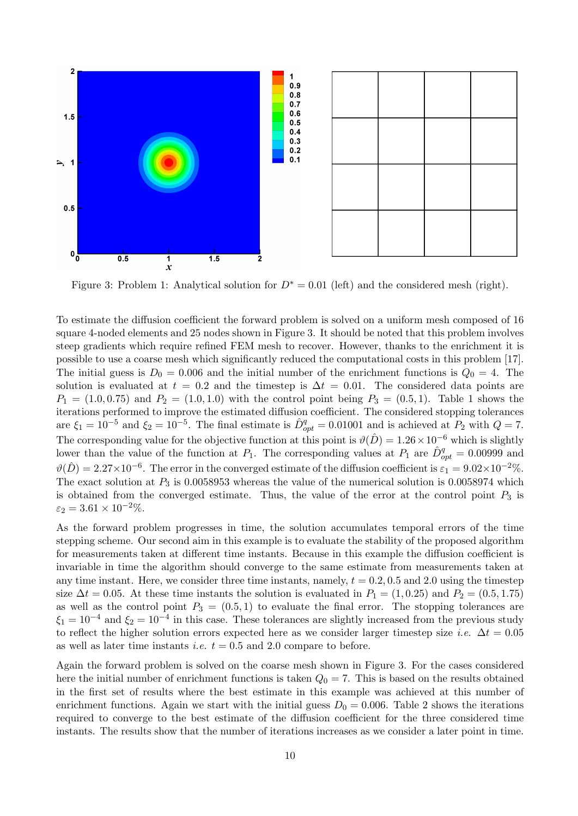

Figure 3: Problem 1: Analytical solution for  $D^* = 0.01$  (left) and the considered mesh (right).

To estimate the diffusion coefficient the forward problem is solved on a uniform mesh composed of 16 square 4-noded elements and 25 nodes shown in Figure 3. It should be noted that this problem involves steep gradients which require refined FEM mesh to recover. However, thanks to the enrichment it is possible to use a coarse mesh which significantly reduced the computational costs in this problem [17]. The initial guess is  $D_0 = 0.006$  and the initial number of the enrichment functions is  $Q_0 = 4$ . The solution is evaluated at  $t = 0.2$  and the timestep is  $\Delta t = 0.01$ . The considered data points are  $P_1 = (1.0, 0.75)$  and  $P_2 = (1.0, 1.0)$  with the control point being  $P_3 = (0.5, 1)$ . Table 1 shows the iterations performed to improve the estimated diffusion coefficient. The considered stopping tolerances are  $\xi_1 = 10^{-5}$  and  $\xi_2 = 10^{-5}$ . The final estimate is  $\hat{D}_{opt}^q = 0.01001$  and is achieved at  $P_2$  with  $Q = 7$ . The corresponding value for the objective function at this point is  $\vartheta(\hat{D}) = 1.26 \times 10^{-6}$  which is slightly lower than the value of the function at  $P_1$ . The corresponding values at  $P_1$  are  $\hat{D}_{opt}^q = 0.00999$  and  $\vartheta(\hat{D}) = 2.27 \times 10^{-6}$ . The error in the converged estimate of the diffusion coefficient is  $\varepsilon_1 = 9.02 \times 10^{-2}$ %. The exact solution at  $P_3$  is 0.0058953 whereas the value of the numerical solution is 0.0058974 which is obtained from the converged estimate. Thus, the value of the error at the control point  $P_3$  is  $\varepsilon_2 = 3.61 \times 10^{-2}\%.$ 

As the forward problem progresses in time, the solution accumulates temporal errors of the time stepping scheme. Our second aim in this example is to evaluate the stability of the proposed algorithm for measurements taken at different time instants. Because in this example the diffusion coefficient is invariable in time the algorithm should converge to the same estimate from measurements taken at any time instant. Here, we consider three time instants, namely,  $t = 0.2, 0.5$  and 2.0 using the timestep size  $\Delta t = 0.05$ . At these time instants the solution is evaluated in  $P_1 = (1, 0.25)$  and  $P_2 = (0.5, 1.75)$ as well as the control point  $P_3 = (0.5, 1)$  to evaluate the final error. The stopping tolerances are  $\xi_1 = 10^{-4}$  and  $\xi_2 = 10^{-4}$  in this case. These tolerances are slightly increased from the previous study to reflect the higher solution errors expected here as we consider larger timestep size *i.e.*  $\Delta t = 0.05$ as well as later time instants *i.e.*  $t = 0.5$  and 2.0 compare to before.

Again the forward problem is solved on the coarse mesh shown in Figure 3. For the cases considered here the initial number of enrichment functions is taken  $Q_0 = 7$ . This is based on the results obtained in the first set of results where the best estimate in this example was achieved at this number of enrichment functions. Again we start with the initial guess  $D_0 = 0.006$ . Table 2 shows the iterations required to converge to the best estimate of the diffusion coefficient for the three considered time instants. The results show that the number of iterations increases as we consider a later point in time.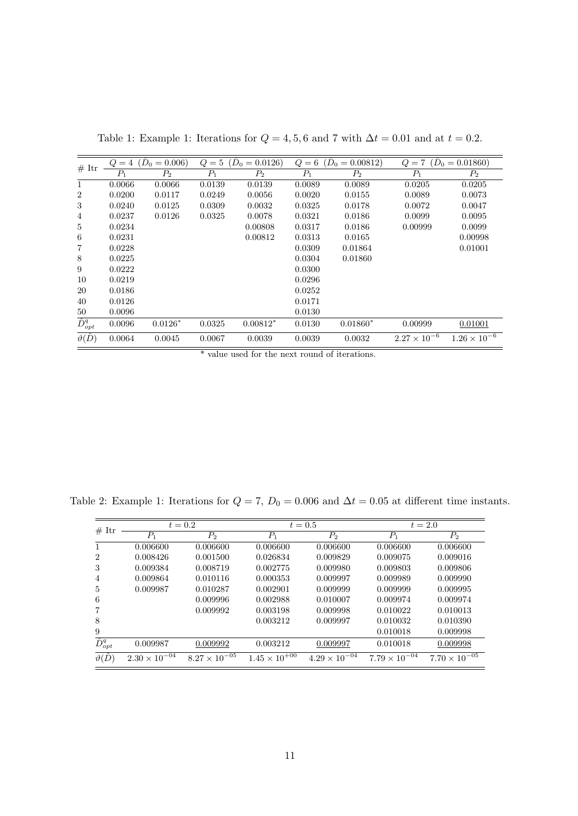| # Itr                | Q       | $= 4$ $(D_0 = 0.006)$ | $Q=5$  | $(D_0 = 0.0126)$ |        | $Q = 6$ $(D_0 = 0.00812)$ | $Q=7$                 | $(D_0 = 0.01860)$     |
|----------------------|---------|-----------------------|--------|------------------|--------|---------------------------|-----------------------|-----------------------|
|                      | $P_{1}$ | P <sub>2</sub>        | $P_1$  | $P_2$            | $P_1$  | $P_2$                     | $P_1$                 | $P_2$                 |
| $\mathbf{1}$         | 0.0066  | 0.0066                | 0.0139 | 0.0139           | 0.0089 | 0.0089                    | 0.0205                | 0.0205                |
| $\overline{2}$       | 0.0200  | 0.0117                | 0.0249 | 0.0056           | 0.0020 | 0.0155                    | 0.0089                | 0.0073                |
| 3                    | 0.0240  | 0.0125                | 0.0309 | 0.0032           | 0.0325 | 0.0178                    | 0.0072                | 0.0047                |
| 4                    | 0.0237  | 0.0126                | 0.0325 | 0.0078           | 0.0321 | 0.0186                    | 0.0099                | 0.0095                |
| 5                    | 0.0234  |                       |        | 0.00808          | 0.0317 | 0.0186                    | 0.00999               | 0.0099                |
| 6                    | 0.0231  |                       |        | 0.00812          | 0.0313 | 0.0165                    |                       | 0.00998               |
| 7                    | 0.0228  |                       |        |                  | 0.0309 | 0.01864                   |                       | 0.01001               |
| 8                    | 0.0225  |                       |        |                  | 0.0304 | 0.01860                   |                       |                       |
| 9                    | 0.0222  |                       |        |                  | 0.0300 |                           |                       |                       |
| 10                   | 0.0219  |                       |        |                  | 0.0296 |                           |                       |                       |
| 20                   | 0.0186  |                       |        |                  | 0.0252 |                           |                       |                       |
| 40                   | 0.0126  |                       |        |                  | 0.0171 |                           |                       |                       |
| 50                   | 0.0096  |                       |        |                  | 0.0130 |                           |                       |                       |
| $\hat{D}_{opt}^q$    | 0.0096  | $0.0126*$             | 0.0325 | $0.00812*$       | 0.0130 | $0.01860*$                | 0.00999               | 0.01001               |
| $\vartheta(\hat{D})$ | 0.0064  | 0.0045                | 0.0067 | 0.0039           | 0.0039 | 0.0032                    | $2.27 \times 10^{-6}$ | $1.26 \times 10^{-6}$ |

Table 1: Example 1: Iterations for  $Q = 4, 5, 6$  and 7 with  $\Delta t = 0.01$  and at  $t = 0.2$ .

\* value used for the next round of iterations.

| # Itr                        |                        | $t=0.2$                |                        | $t = 0.5$              | $t = 2.0$              |                        |  |  |
|------------------------------|------------------------|------------------------|------------------------|------------------------|------------------------|------------------------|--|--|
|                              | $P_1$                  | $P_2$                  | $P_1$                  | $P_2$                  | $P_1$                  | $P_2$                  |  |  |
|                              | 0.006600               | 0.006600               | 0.006600               | 0.006600               | 0.006600               | 0.006600               |  |  |
| 2                            | 0.008426               | 0.001500               | 0.026834               | 0.009829               | 0.009075               | 0.009016               |  |  |
| 3                            | 0.009384               | 0.008719               | 0.002775               | 0.009980               | 0.009803               | 0.009806               |  |  |
| 4                            | 0.009864               | 0.010116               | 0.000353               | 0.009997               | 0.009989               | 0.009990               |  |  |
| 5                            | 0.009987               | 0.010287               | 0.002901               | 0.009999               | 0.009999               | 0.009995               |  |  |
| 6                            |                        | 0.009996               | 0.002988               | 0.010007               | 0.009974               | 0.009974               |  |  |
|                              |                        | 0.009992               | 0.003198               | 0.009998               | 0.010022               | 0.010013               |  |  |
| 8                            |                        |                        | 0.003212               | 0.009997               | 0.010032               | 0.010390               |  |  |
| 9                            |                        |                        |                        |                        | 0.010018               | 0.009998               |  |  |
| $\overline{\hat{D}^q_{opt}}$ | 0.009987               | 0.009992               | 0.003212               | 0.009997               | 0.010018               | 0.009998               |  |  |
| $\vartheta(\hat{D})$         | $2.30 \times 10^{-04}$ | $8.27 \times 10^{-05}$ | $1.45 \times 10^{+00}$ | $4.29 \times 10^{-04}$ | $7.79 \times 10^{-04}$ | $7.70 \times 10^{-05}$ |  |  |

Table 2: Example 1: Iterations for  $Q = 7$ ,  $D_0 = 0.006$  and  $\Delta t = 0.05$  at different time instants.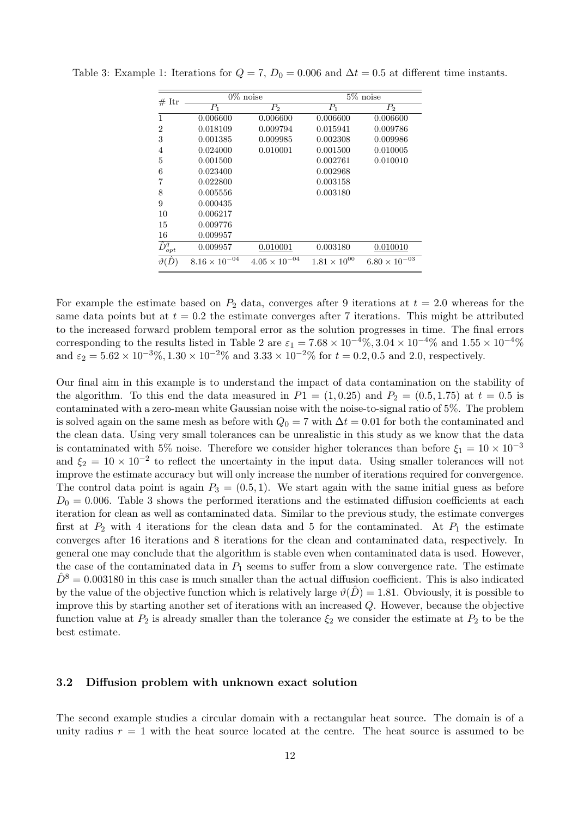| # Itr             |                        | $0\%$ noise            | $5\%$ noise           |                        |  |  |  |  |  |
|-------------------|------------------------|------------------------|-----------------------|------------------------|--|--|--|--|--|
|                   | $P_1$                  | P <sub>2</sub>         | $P_1$                 | P <sub>2</sub>         |  |  |  |  |  |
| 1                 | 0.006600               | 0.006600               | 0.006600              | 0.006600               |  |  |  |  |  |
| $\overline{2}$    | 0.018109               | 0.009794               | 0.015941              | 0.009786               |  |  |  |  |  |
| 3                 | 0.001385               | 0.009985               | 0.002308              | 0.009986               |  |  |  |  |  |
| 4                 | 0.024000               | 0.010001               | 0.001500              | 0.010005               |  |  |  |  |  |
| 5                 | 0.001500               |                        | 0.002761              | 0.010010               |  |  |  |  |  |
| 6                 | 0.023400               |                        | 0.002968              |                        |  |  |  |  |  |
| 7                 | 0.022800               |                        | 0.003158              |                        |  |  |  |  |  |
| 8                 | 0.005556               |                        | 0.003180              |                        |  |  |  |  |  |
| 9                 | 0.000435               |                        |                       |                        |  |  |  |  |  |
| 10                | 0.006217               |                        |                       |                        |  |  |  |  |  |
| 15                | 0.009776               |                        |                       |                        |  |  |  |  |  |
| 16                | 0.009957               |                        |                       |                        |  |  |  |  |  |
| $\hat{D}_{opt}^q$ | 0.009957               | 0.010001               | 0.003180              | 0.010010               |  |  |  |  |  |
| $\vartheta(D$     | $8.16 \times 10^{-04}$ | $4.05 \times 10^{-04}$ | $1.81 \times 10^{00}$ | $6.80 \times 10^{-03}$ |  |  |  |  |  |

Table 3: Example 1: Iterations for  $Q = 7$ ,  $D_0 = 0.006$  and  $\Delta t = 0.5$  at different time instants.

For example the estimate based on  $P_2$  data, converges after 9 iterations at  $t = 2.0$  whereas for the same data points but at  $t = 0.2$  the estimate converges after 7 iterations. This might be attributed to the increased forward problem temporal error as the solution progresses in time. The final errors corresponding to the results listed in Table 2 are  $\varepsilon_1 = 7.68 \times 10^{-4}\%$ ,  $3.04 \times 10^{-4}\%$  and  $1.55 \times 10^{-4}\%$ and  $\varepsilon_2 = 5.62 \times 10^{-3}$ %,  $1.30 \times 10^{-2}$ % and  $3.33 \times 10^{-2}$ % for  $t = 0.2, 0.5$  and 2.0, respectively.

Our final aim in this example is to understand the impact of data contamination on the stability of the algorithm. To this end the data measured in  $P1 = (1, 0.25)$  and  $P_2 = (0.5, 1.75)$  at  $t = 0.5$  is contaminated with a zero-mean white Gaussian noise with the noise-to-signal ratio of 5%. The problem is solved again on the same mesh as before with  $Q_0 = 7$  with  $\Delta t = 0.01$  for both the contaminated and the clean data. Using very small tolerances can be unrealistic in this study as we know that the data is contaminated with 5% noise. Therefore we consider higher tolerances than before  $\xi_1 = 10 \times 10^{-3}$ and  $\xi_2 = 10 \times 10^{-2}$  to reflect the uncertainty in the input data. Using smaller tolerances will not improve the estimate accuracy but will only increase the number of iterations required for convergence. The control data point is again  $P_3 = (0.5, 1)$ . We start again with the same initial guess as before  $D_0 = 0.006$ . Table 3 shows the performed iterations and the estimated diffusion coefficients at each iteration for clean as well as contaminated data. Similar to the previous study, the estimate converges first at  $P_2$  with 4 iterations for the clean data and 5 for the contaminated. At  $P_1$  the estimate converges after 16 iterations and 8 iterations for the clean and contaminated data, respectively. In general one may conclude that the algorithm is stable even when contaminated data is used. However, the case of the contaminated data in  $P_1$  seems to suffer from a slow convergence rate. The estimate  $\hat{D}^8 = 0.003180$  in this case is much smaller than the actual diffusion coefficient. This is also indicated by the value of the objective function which is relatively large  $\vartheta(D) = 1.81$ . Obviously, it is possible to improve this by starting another set of iterations with an increased  $Q$ . However, because the objective function value at  $P_2$  is already smaller than the tolerance  $\xi_2$  we consider the estimate at  $P_2$  to be the best estimate.

### 3.2 Diffusion problem with unknown exact solution

The second example studies a circular domain with a rectangular heat source. The domain is of a unity radius  $r = 1$  with the heat source located at the centre. The heat source is assumed to be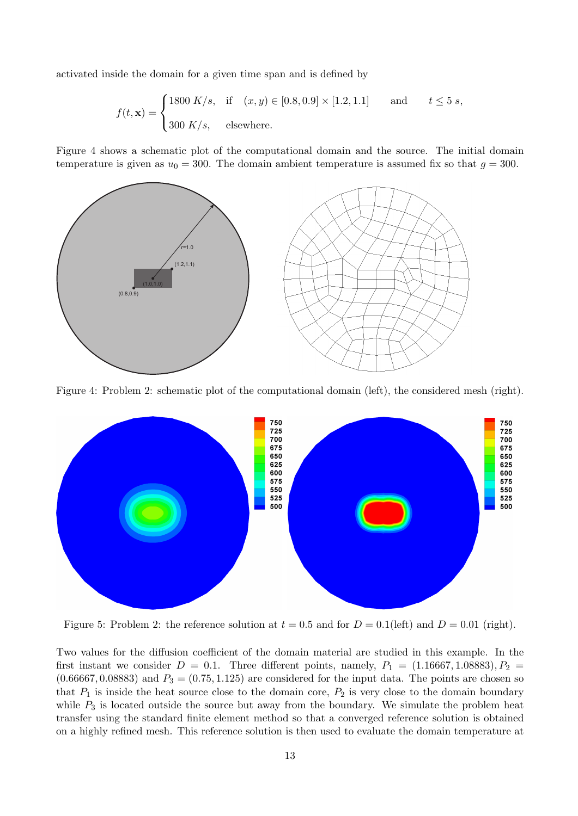activated inside the domain for a given time span and is defined by

$$
f(t, \mathbf{x}) = \begin{cases} 1800 \ K/s, & \text{if } (x, y) \in [0.8, 0.9] \times [1.2, 1.1] & \text{and} \ t \le 5 \ s, \\ 300 \ K/s, & \text{elsewhere.} \end{cases}
$$

Figure 4 shows a schematic plot of the computational domain and the source. The initial domain temperature is given as  $u_0 = 300$ . The domain ambient temperature is assumed fix so that  $g = 300$ .



Figure 4: Problem 2: schematic plot of the computational domain (left), the considered mesh (right).



Figure 5: Problem 2: the reference solution at  $t = 0.5$  and for  $D = 0.1$  (left) and  $D = 0.01$  (right).

Two values for the diffusion coefficient of the domain material are studied in this example. In the first instant we consider  $D = 0.1$ . Three different points, namely,  $P_1 = (1.16667, 1.08883), P_2 =$  $(0.66667, 0.08883)$  and  $P_3 = (0.75, 1.125)$  are considered for the input data. The points are chosen so that  $P_1$  is inside the heat source close to the domain core,  $P_2$  is very close to the domain boundary while  $P_3$  is located outside the source but away from the boundary. We simulate the problem heat transfer using the standard finite element method so that a converged reference solution is obtained on a highly refined mesh. This reference solution is then used to evaluate the domain temperature at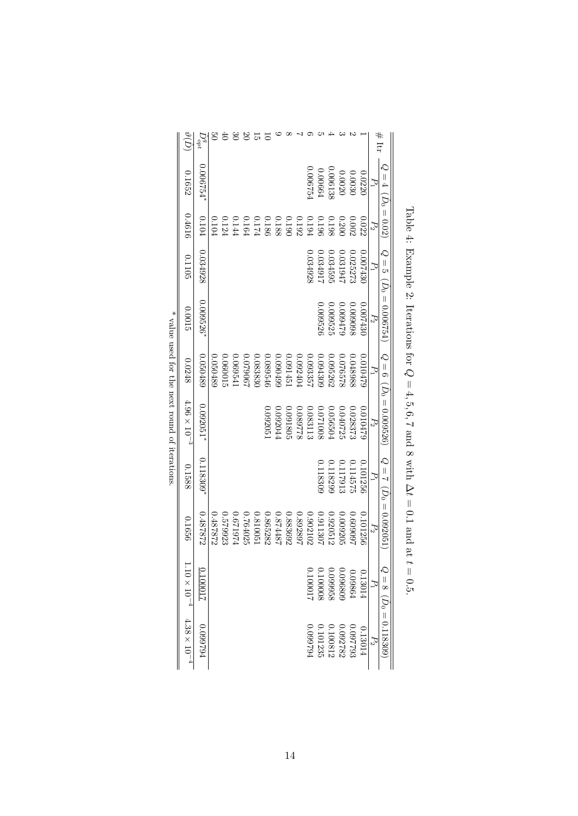|                                               | $\vartheta(D)$      | $D_{opt}^q$  | ु<br>०   | 40       | $\infty$ | $\mathfrak{S}$ | $\frac{1}{2}$ | $\overline{5}$ |          |          |          |          |          |          |                                                                             |          |          |                 | $#$ Itr                      |
|-----------------------------------------------|---------------------|--------------|----------|----------|----------|----------------|---------------|----------------|----------|----------|----------|----------|----------|----------|-----------------------------------------------------------------------------|----------|----------|-----------------|------------------------------|
|                                               | 0.1652              | $0.006754*$  |          |          |          |                |               |                |          |          |          | 0.00675  | 0.00664  | 0.006138 | 0.0020                                                                      | 0.0030   | 0.0220   | J,              | $Q = 4$ ( $D_0 = 0.02$ )     |
|                                               | 0.4616              | 0.104        | 0.104    | 0.124    | 0.144    | $0.164\,$      | 0.174         | $0.186\,$      | 0.188    | 0.190    | 0.192    | 0.194    | 0.196    | 0.198    | 0.20(                                                                       | 0.002    | 0.022    | $\mathcal{L}_2$ |                              |
|                                               | 0.1105              | 0.034928     |          |          |          |                |               |                |          |          |          | 0.034928 | 1.03491  | 0.034595 | 1618104                                                                     | 0.025275 | 0.007430 | Σ,              |                              |
|                                               | 0.0015              | $0.009526$ * |          |          |          |                |               |                |          |          |          |          | 0.009526 | 0.009525 | 009479                                                                      | 009098   | 0.007430 | $P_2$           | $Q = 5 (D_0 = 0.006754)$     |
|                                               | 0.0248              | 0.050489     | 0.050489 | 10090.0  | 0.06954  | 0.079067       | 0.083830      | 0.089546       | 0.090499 | 0.09145  | 0.092404 | 0.09335  | 0.094309 | 0.9526   | 329920.0                                                                    | 0.048988 | 0.010479 | $\mathcal{L}_1$ |                              |
| * value used for the next round of iterations | $4.96\times10^{-3}$ | 0.092051*    |          |          |          |                |               | 0.09205        | 0.092044 | 0.091805 | 322680.0 | 0.083113 | 8001200  | 0.056504 | 0.040725                                                                    | 0.028375 | 0.010478 | $P_2$           | $Q = 6$ ( $D_0 = 0.009526$ ) |
|                                               | 0.1588              | $0.118309*$  |          |          |          |                |               |                |          |          |          |          | 0.118305 | 1.118299 | 11791:                                                                      | 0.114575 | 0.101256 | J               | $Q = 7$ ( $D_0 = 0.092051$ ) |
|                                               | 0.1656              | 0.487872     | 0.487872 | 0.579923 | 5797974  | 0.764025       | 0.810051      | 0.865282       | 184487   | 0.883692 | 168268.0 | 0.902102 | 0.911307 | 0.2051   | 0.009205                                                                    | ,60609.0 | 0.101256 | $P_2$           |                              |
|                                               | $10\times10^{-4}$   | 10001.0      |          |          |          |                |               |                |          |          |          | 0.100017 | 0.100008 |          | $\begin{array}{c} 0.13014 \\ 0.09864 \\ 0.096809 \\ 0.096809 \end{array}$   |          |          | $P_1$           | $Q = 8$ ( $D_0 = 0.118309$ ) |
|                                               | $4.38\times10^{-4}$ | F62660'0     |          |          |          |                |               |                |          |          |          | F62660'0 |          |          | $\begin{array}{c} 0.097793 \\ 0.092782 \\ 0.100812 \\ 0.101235 \end{array}$ |          | 0.13014  | $P_2$           |                              |

Table 4: Example 2: Iterations for Q  $= 4, 5, 6,$ 7 and 8 with ∆ $t = 0.$ 1 and at  $t=0.5.$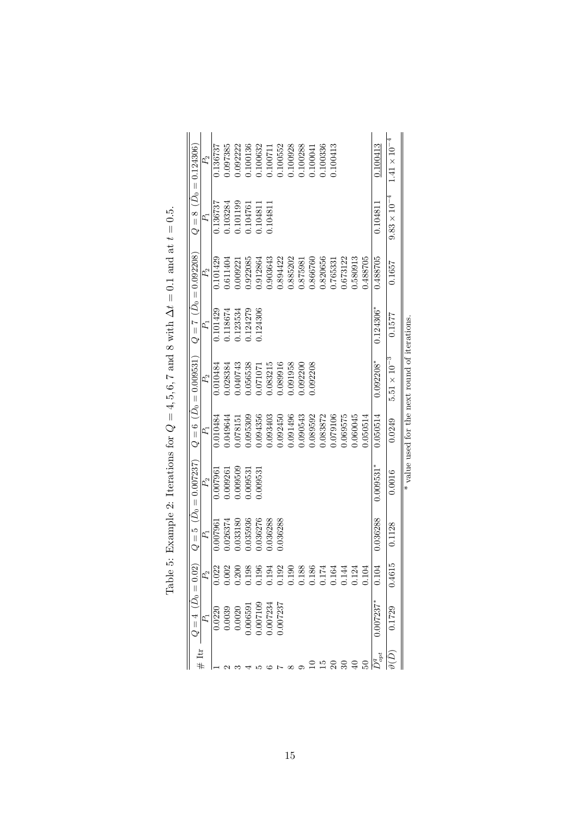|                       |                                     |          |                              | * value used for the next round of iterations. |              |                              |          |                                                                                                                                                                                                                                                                               |                         |  |
|-----------------------|-------------------------------------|----------|------------------------------|------------------------------------------------|--------------|------------------------------|----------|-------------------------------------------------------------------------------------------------------------------------------------------------------------------------------------------------------------------------------------------------------------------------------|-------------------------|--|
| $1.41 \times 10^{-4}$ | $9.83 \times 10^{-4}$               | 0.1657   | 0.1577                       | $5.51\times10^{-3}$                            | 0.0249       | 0.0016                       | 0.1128   | 0.4615                                                                                                                                                                                                                                                                        | 1729                    |  |
| 0.100413              | 0.10481                             | 0.488705 | $0.124306*$                  | $0.092208*$                                    | 0.050514     | $0.009531$ <sup>*</sup>      | 0.036288 |                                                                                                                                                                                                                                                                               | $0.007237$ <sup>*</sup> |  |
|                       |                                     | 1.488705 |                              |                                                | 0.50514      |                              |          |                                                                                                                                                                                                                                                                               |                         |  |
|                       |                                     | 0.580913 |                              |                                                | 0.060045     |                              |          | $\begin{array}{c} 208888121200 \\ 0.1111000 \\ 0.01111000 \\ 0.0111000 \\ 0.0111000 \\ 0.0111000 \\ 0.0111000 \\ 0.0111000 \\ 0.0111000 \\ 0.0111000 \\ 0.0111000 \\ 0.0111000 \\ 0.0111000 \\ 0.0111000 \\ 0.0111000 \\ 0.0111000 \\ 0.0111000 \\ 0.0111000 \\ 0.0111000 \\$ |                         |  |
|                       |                                     | 0.673122 |                              |                                                | 0.69575      |                              |          |                                                                                                                                                                                                                                                                               |                         |  |
| 1.100413              |                                     | 0.765331 |                              |                                                | 0.079106     |                              |          |                                                                                                                                                                                                                                                                               |                         |  |
| 1.100336              |                                     | 0.820656 |                              |                                                | 0.83872      |                              |          |                                                                                                                                                                                                                                                                               |                         |  |
| 1.100041              |                                     | 0.866760 |                              | 0.92208                                        | 1.089592     |                              |          |                                                                                                                                                                                                                                                                               |                         |  |
| 1.100288              |                                     | 0.875981 |                              | 0.092200                                       | 1.090543     |                              |          |                                                                                                                                                                                                                                                                               |                         |  |
| 1.00928               |                                     | 0.885202 |                              | 1.091958                                       | 0691496.     |                              |          |                                                                                                                                                                                                                                                                               |                         |  |
| 0.100552              |                                     | 0.894422 |                              | 1.089916                                       | 0.092450     |                              | 0.36288  |                                                                                                                                                                                                                                                                               | 1.007237                |  |
| 1.10071               | 1.104811                            | 0.903643 |                              | 1.083215                                       | 0.093403     |                              | 0.36288  |                                                                                                                                                                                                                                                                               | .007234                 |  |
| 1.100632              | 1.104811                            | 0.912864 | 1.124306                     | 1.071071                                       | 0.094356     | 0.009531                     | 0.036276 |                                                                                                                                                                                                                                                                               | 007109                  |  |
| 1.100136              | 1.104761                            | 1.922085 | 1.24279                      | 0.56538                                        | 0.095309     | 1.009531                     | 0.035936 |                                                                                                                                                                                                                                                                               | .006591                 |  |
| 0.92222               | 1.101199                            | 0.009221 | 0.123534                     | 1.040743                                       | 1.078151     | 0.009509                     | 0.033180 |                                                                                                                                                                                                                                                                               | 0.0020                  |  |
| 1.097385              | 103284                              | 0.611404 | 1.118674                     | 1.028384                                       | 0.049644     | 1,009261                     | 0.026374 | 0.002                                                                                                                                                                                                                                                                         | 0.0039                  |  |
| 1.136737              | 1.136737                            | 0.101429 | 0.101429                     | 0.010484                                       | 0.010484     | 0.007961                     | 0.007961 | 0.022                                                                                                                                                                                                                                                                         | 0.0220                  |  |
| $P_2$                 | P,                                  | $P_2$    | P,                           | $P_2$                                          | $\mathbb{Z}$ | $P_2$                        | $P_1$    | $P_2$                                                                                                                                                                                                                                                                         | Ą                       |  |
|                       | $Q = 8$ (D <sub>0</sub> = 0.124306) |          | $Q = 7 \ \ (D_0 = 0.092208)$ | $Q=6$ ( $D_0=0.009531$ )                       |              | $Q = 5 \ \ (D_0 = 0.007237)$ |          |                                                                                                                                                                                                                                                                               | $=4\;(D_0=0.02)$        |  |
|                       |                                     |          |                              |                                                |              |                              |          |                                                                                                                                                                                                                                                                               |                         |  |

Table 5: Example 2: Iterations for  $Q = 4, 5, 6, 7$  and 8 with  $\Delta t = 0.1$  and at  $t = 0.5$ . Table 5: Example 2: Iterations for  $Q = 4, 5, 6, 7$  and 8 with  $\Delta t = 0.1$  and at  $t = 0.5$ .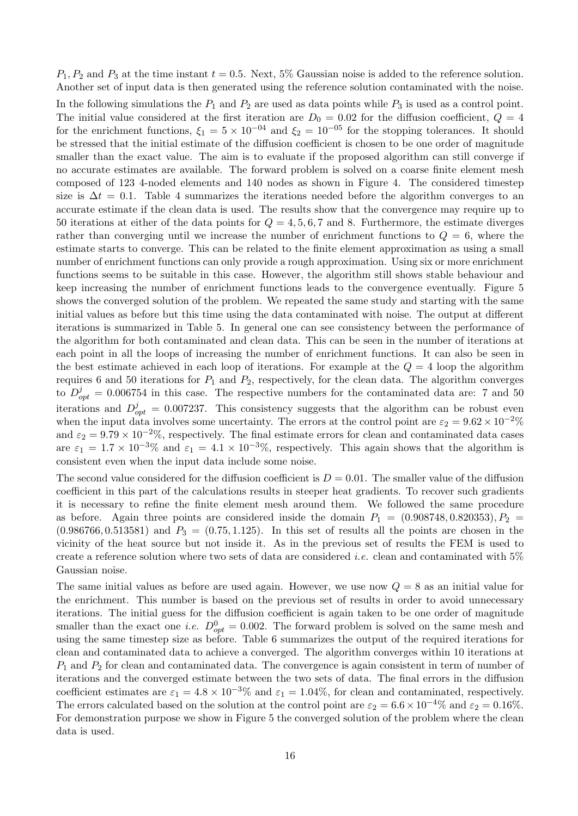$P_1, P_2$  and  $P_3$  at the time instant  $t = 0.5$ . Next, 5% Gaussian noise is added to the reference solution. Another set of input data is then generated using the reference solution contaminated with the noise.

In the following simulations the  $P_1$  and  $P_2$  are used as data points while  $P_3$  is used as a control point. The initial value considered at the first iteration are  $D_0 = 0.02$  for the diffusion coefficient,  $Q = 4$ for the enrichment functions,  $\xi_1 = 5 \times 10^{-04}$  and  $\xi_2 = 10^{-05}$  for the stopping tolerances. It should be stressed that the initial estimate of the diffusion coefficient is chosen to be one order of magnitude smaller than the exact value. The aim is to evaluate if the proposed algorithm can still converge if no accurate estimates are available. The forward problem is solved on a coarse finite element mesh composed of 123 4-noded elements and 140 nodes as shown in Figure 4. The considered timestep size is  $\Delta t = 0.1$ . Table 4 summarizes the iterations needed before the algorithm converges to an accurate estimate if the clean data is used. The results show that the convergence may require up to 50 iterations at either of the data points for  $Q = 4, 5, 6, 7$  and 8. Furthermore, the estimate diverges rather than converging until we increase the number of enrichment functions to  $Q = 6$ , where the estimate starts to converge. This can be related to the finite element approximation as using a small number of enrichment functions can only provide a rough approximation. Using six or more enrichment functions seems to be suitable in this case. However, the algorithm still shows stable behaviour and keep increasing the number of enrichment functions leads to the convergence eventually. Figure 5 shows the converged solution of the problem. We repeated the same study and starting with the same initial values as before but this time using the data contaminated with noise. The output at different iterations is summarized in Table 5. In general one can see consistency between the performance of the algorithm for both contaminated and clean data. This can be seen in the number of iterations at each point in all the loops of increasing the number of enrichment functions. It can also be seen in the best estimate achieved in each loop of iterations. For example at the  $Q = 4$  loop the algorithm requires 6 and 50 iterations for  $P_1$  and  $P_2$ , respectively, for the clean data. The algorithm converges to  $D_{opt}^{j} = 0.006754$  in this case. The respective numbers for the contaminated data are: 7 and 50 iterations and  $D_{opt}^{j} = 0.007237$ . This consistency suggests that the algorithm can be robust even when the input data involves some uncertainty. The errors at the control point are  $\varepsilon_2 = 9.62 \times 10^{-2}\%$ and  $\varepsilon_2 = 9.79 \times 10^{-2}$ %, respectively. The final estimate errors for clean and contaminated data cases are  $\varepsilon_1 = 1.7 \times 10^{-3}\%$  and  $\varepsilon_1 = 4.1 \times 10^{-3}\%$ , respectively. This again shows that the algorithm is consistent even when the input data include some noise.

The second value considered for the diffusion coefficient is  $D = 0.01$ . The smaller value of the diffusion coefficient in this part of the calculations results in steeper heat gradients. To recover such gradients it is necessary to refine the finite element mesh around them. We followed the same procedure as before. Again three points are considered inside the domain  $P_1 = (0.908748, 0.820353), P_2 =$  $(0.986766, 0.513581)$  and  $P_3 = (0.75, 1.125)$ . In this set of results all the points are chosen in the vicinity of the heat source but not inside it. As in the previous set of results the FEM is used to create a reference solution where two sets of data are considered *i.e.* clean and contaminated with  $5\%$ Gaussian noise.

The same initial values as before are used again. However, we use now  $Q = 8$  as an initial value for the enrichment. This number is based on the previous set of results in order to avoid unnecessary iterations. The initial guess for the diffusion coefficient is again taken to be one order of magnitude smaller than the exact one *i.e.*  $D_{opt}^0 = 0.002$ . The forward problem is solved on the same mesh and using the same timestep size as before. Table 6 summarizes the output of the required iterations for clean and contaminated data to achieve a converged. The algorithm converges within 10 iterations at  $P_1$  and  $P_2$  for clean and contaminated data. The convergence is again consistent in term of number of iterations and the converged estimate between the two sets of data. The final errors in the diffusion coefficient estimates are  $\varepsilon_1 = 4.8 \times 10^{-3}$ % and  $\varepsilon_1 = 1.04$ %, for clean and contaminated, respectively. The errors calculated based on the solution at the control point are  $\varepsilon_2 = 6.6 \times 10^{-4}\%$  and  $\varepsilon_2 = 0.16\%$ . For demonstration purpose we show in Figure 5 the converged solution of the problem where the clean data is used.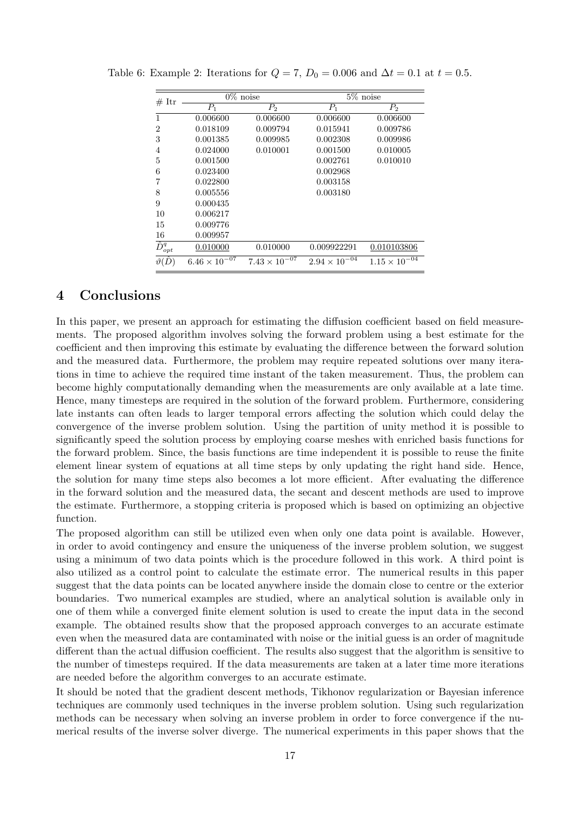| # Itr                        |                                   | $\overline{0}\%$ noise | $5\%$ noise            |                        |  |  |  |  |  |
|------------------------------|-----------------------------------|------------------------|------------------------|------------------------|--|--|--|--|--|
|                              | $P_1$                             | $\bar{P}_2$            | $P_1$                  | $P_{2}$                |  |  |  |  |  |
| 1                            | 0.006600                          | 0.006600               | 0.006600               | 0.006600               |  |  |  |  |  |
| 2                            | 0.018109                          | 0.009794               | 0.015941               | 0.009786               |  |  |  |  |  |
| 3                            | 0.001385                          | 0.009985               | 0.002308               | 0.009986               |  |  |  |  |  |
| 4                            | 0.024000                          | 0.010001               | 0.001500               | 0.010005               |  |  |  |  |  |
| 5                            | 0.001500                          |                        | 0.002761               | 0.010010               |  |  |  |  |  |
| 6                            | 0.023400                          |                        | 0.002968               |                        |  |  |  |  |  |
| 7                            | 0.022800                          |                        | 0.003158               |                        |  |  |  |  |  |
| 8                            | 0.005556                          |                        | 0.003180               |                        |  |  |  |  |  |
| 9                            | 0.000435                          |                        |                        |                        |  |  |  |  |  |
| 10                           | 0.006217                          |                        |                        |                        |  |  |  |  |  |
| 15                           | 0.009776                          |                        |                        |                        |  |  |  |  |  |
| 16                           | 0.009957                          |                        |                        |                        |  |  |  |  |  |
| $\overline{\hat{D}^q_{opt}}$ | 0.010000                          | 0.010000               | 0.009922291            | 0.010103806            |  |  |  |  |  |
| $\vartheta$                  | $6.46 \times 10^{-\overline{07}}$ | $7.43 \times 10^{-07}$ | $2.94 \times 10^{-04}$ | $1.15 \times 10^{-04}$ |  |  |  |  |  |

Table 6: Example 2: Iterations for  $Q = 7$ ,  $D_0 = 0.006$  and  $\Delta t = 0.1$  at  $t = 0.5$ .

# 4 Conclusions

In this paper, we present an approach for estimating the diffusion coefficient based on field measurements. The proposed algorithm involves solving the forward problem using a best estimate for the coefficient and then improving this estimate by evaluating the difference between the forward solution and the measured data. Furthermore, the problem may require repeated solutions over many iterations in time to achieve the required time instant of the taken measurement. Thus, the problem can become highly computationally demanding when the measurements are only available at a late time. Hence, many timesteps are required in the solution of the forward problem. Furthermore, considering late instants can often leads to larger temporal errors affecting the solution which could delay the convergence of the inverse problem solution. Using the partition of unity method it is possible to significantly speed the solution process by employing coarse meshes with enriched basis functions for the forward problem. Since, the basis functions are time independent it is possible to reuse the finite element linear system of equations at all time steps by only updating the right hand side. Hence, the solution for many time steps also becomes a lot more efficient. After evaluating the difference in the forward solution and the measured data, the secant and descent methods are used to improve the estimate. Furthermore, a stopping criteria is proposed which is based on optimizing an objective function.

The proposed algorithm can still be utilized even when only one data point is available. However, in order to avoid contingency and ensure the uniqueness of the inverse problem solution, we suggest using a minimum of two data points which is the procedure followed in this work. A third point is also utilized as a control point to calculate the estimate error. The numerical results in this paper suggest that the data points can be located anywhere inside the domain close to centre or the exterior boundaries. Two numerical examples are studied, where an analytical solution is available only in one of them while a converged finite element solution is used to create the input data in the second example. The obtained results show that the proposed approach converges to an accurate estimate even when the measured data are contaminated with noise or the initial guess is an order of magnitude different than the actual diffusion coefficient. The results also suggest that the algorithm is sensitive to the number of timesteps required. If the data measurements are taken at a later time more iterations are needed before the algorithm converges to an accurate estimate.

It should be noted that the gradient descent methods, Tikhonov regularization or Bayesian inference techniques are commonly used techniques in the inverse problem solution. Using such regularization methods can be necessary when solving an inverse problem in order to force convergence if the numerical results of the inverse solver diverge. The numerical experiments in this paper shows that the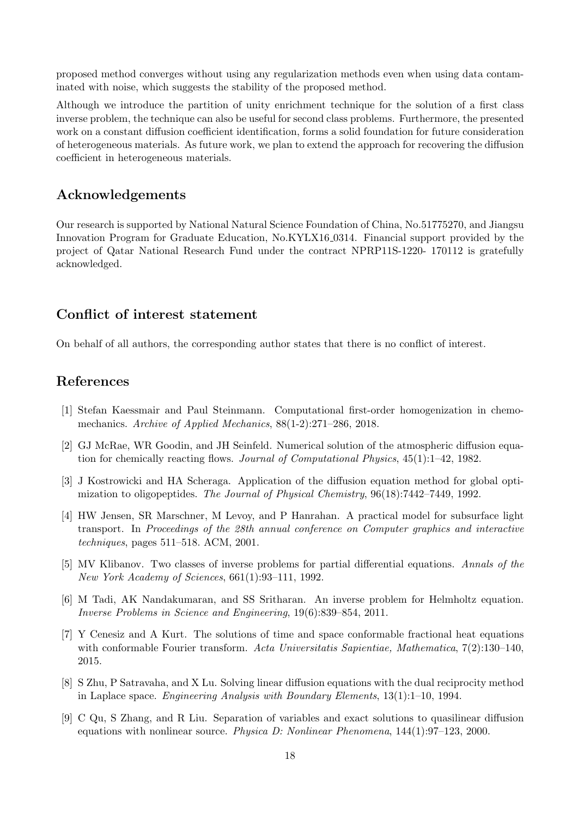proposed method converges without using any regularization methods even when using data contaminated with noise, which suggests the stability of the proposed method.

Although we introduce the partition of unity enrichment technique for the solution of a first class inverse problem, the technique can also be useful for second class problems. Furthermore, the presented work on a constant diffusion coefficient identification, forms a solid foundation for future consideration of heterogeneous materials. As future work, we plan to extend the approach for recovering the diffusion coefficient in heterogeneous materials.

# Acknowledgements

Our research is supported by National Natural Science Foundation of China, No.51775270, and Jiangsu Innovation Program for Graduate Education, No.KYLX16 0314. Financial support provided by the project of Qatar National Research Fund under the contract NPRP11S-1220- 170112 is gratefully acknowledged.

# Conflict of interest statement

On behalf of all authors, the corresponding author states that there is no conflict of interest.

## References

- [1] Stefan Kaessmair and Paul Steinmann. Computational first-order homogenization in chemomechanics. Archive of Applied Mechanics, 88(1-2):271–286, 2018.
- [2] GJ McRae, WR Goodin, and JH Seinfeld. Numerical solution of the atmospheric diffusion equation for chemically reacting flows. Journal of Computational Physics, 45(1):1–42, 1982.
- [3] J Kostrowicki and HA Scheraga. Application of the diffusion equation method for global optimization to oligopeptides. The Journal of Physical Chemistry, 96(18):7442–7449, 1992.
- [4] HW Jensen, SR Marschner, M Levoy, and P Hanrahan. A practical model for subsurface light transport. In Proceedings of the 28th annual conference on Computer graphics and interactive techniques, pages 511–518. ACM, 2001.
- [5] MV Klibanov. Two classes of inverse problems for partial differential equations. Annals of the New York Academy of Sciences, 661(1):93–111, 1992.
- [6] M Tadi, AK Nandakumaran, and SS Sritharan. An inverse problem for Helmholtz equation. Inverse Problems in Science and Engineering, 19(6):839–854, 2011.
- [7] Y Cenesiz and A Kurt. The solutions of time and space conformable fractional heat equations with conformable Fourier transform. Acta Universitatis Sapientiae, Mathematica, 7(2):130–140, 2015.
- [8] S Zhu, P Satravaha, and X Lu. Solving linear diffusion equations with the dual reciprocity method in Laplace space. Engineering Analysis with Boundary Elements, 13(1):1–10, 1994.
- [9] C Qu, S Zhang, and R Liu. Separation of variables and exact solutions to quasilinear diffusion equations with nonlinear source. Physica D: Nonlinear Phenomena, 144(1):97–123, 2000.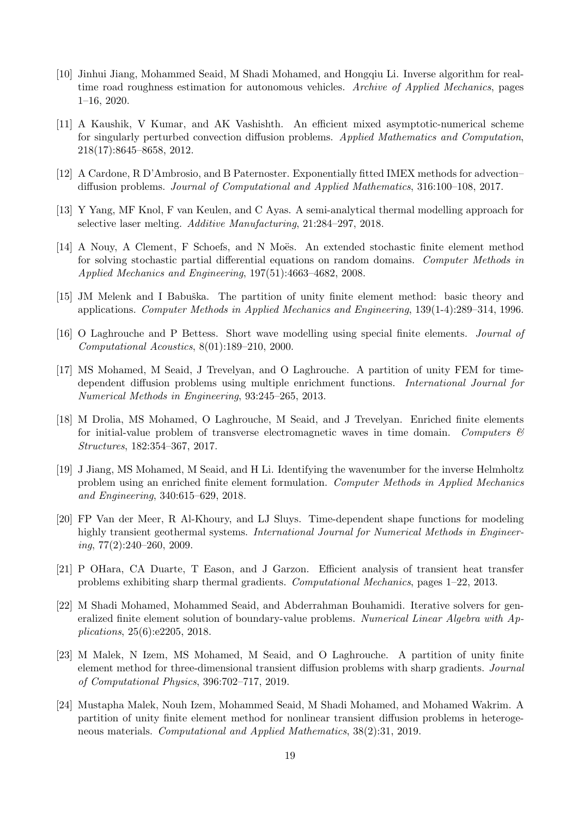- [10] Jinhui Jiang, Mohammed Seaid, M Shadi Mohamed, and Hongqiu Li. Inverse algorithm for realtime road roughness estimation for autonomous vehicles. Archive of Applied Mechanics, pages 1–16, 2020.
- [11] A Kaushik, V Kumar, and AK Vashishth. An efficient mixed asymptotic-numerical scheme for singularly perturbed convection diffusion problems. Applied Mathematics and Computation, 218(17):8645–8658, 2012.
- [12] A Cardone, R D'Ambrosio, and B Paternoster. Exponentially fitted IMEX methods for advection– diffusion problems. Journal of Computational and Applied Mathematics, 316:100–108, 2017.
- [13] Y Yang, MF Knol, F van Keulen, and C Ayas. A semi-analytical thermal modelling approach for selective laser melting. Additive Manufacturing, 21:284–297, 2018.
- [14] A Nouy, A Clement, F Schoefs, and N Moës. An extended stochastic finite element method for solving stochastic partial differential equations on random domains. Computer Methods in Applied Mechanics and Engineering, 197(51):4663–4682, 2008.
- [15] JM Melenk and I Babuška. The partition of unity finite element method: basic theory and applications. Computer Methods in Applied Mechanics and Engineering, 139(1-4):289–314, 1996.
- [16] O Laghrouche and P Bettess. Short wave modelling using special finite elements. Journal of Computational Acoustics, 8(01):189–210, 2000.
- [17] MS Mohamed, M Seaid, J Trevelyan, and O Laghrouche. A partition of unity FEM for timedependent diffusion problems using multiple enrichment functions. International Journal for Numerical Methods in Engineering, 93:245–265, 2013.
- [18] M Drolia, MS Mohamed, O Laghrouche, M Seaid, and J Trevelyan. Enriched finite elements for initial-value problem of transverse electromagnetic waves in time domain. Computers  $\mathcal C$ Structures, 182:354–367, 2017.
- [19] J Jiang, MS Mohamed, M Seaid, and H Li. Identifying the wavenumber for the inverse Helmholtz problem using an enriched finite element formulation. Computer Methods in Applied Mechanics and Engineering, 340:615–629, 2018.
- [20] FP Van der Meer, R Al-Khoury, and LJ Sluys. Time-dependent shape functions for modeling highly transient geothermal systems. *International Journal for Numerical Methods in Engineer*ing, 77(2):240–260, 2009.
- [21] P OHara, CA Duarte, T Eason, and J Garzon. Efficient analysis of transient heat transfer problems exhibiting sharp thermal gradients. Computational Mechanics, pages 1–22, 2013.
- [22] M Shadi Mohamed, Mohammed Seaid, and Abderrahman Bouhamidi. Iterative solvers for generalized finite element solution of boundary-value problems. Numerical Linear Algebra with Applications, 25(6):e2205, 2018.
- [23] M Malek, N Izem, MS Mohamed, M Seaid, and O Laghrouche. A partition of unity finite element method for three-dimensional transient diffusion problems with sharp gradients. Journal of Computational Physics, 396:702–717, 2019.
- [24] Mustapha Malek, Nouh Izem, Mohammed Seaid, M Shadi Mohamed, and Mohamed Wakrim. A partition of unity finite element method for nonlinear transient diffusion problems in heterogeneous materials. Computational and Applied Mathematics, 38(2):31, 2019.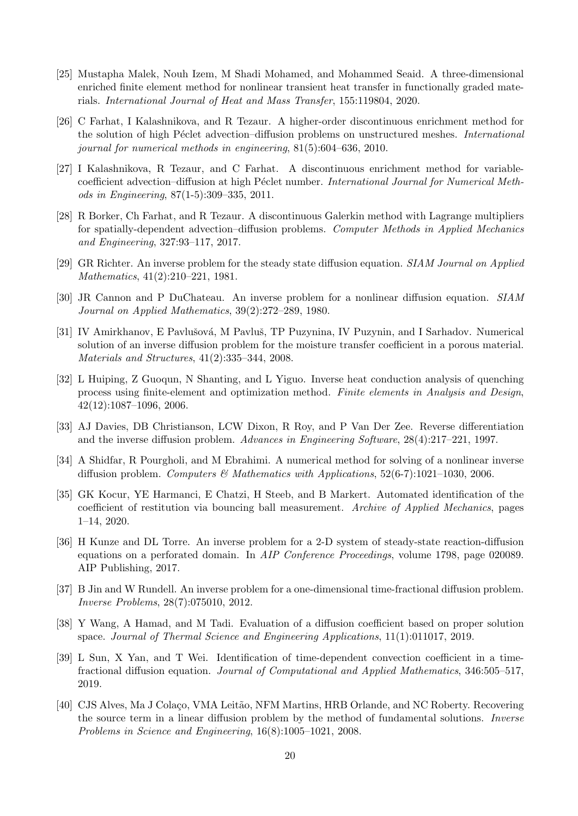- [25] Mustapha Malek, Nouh Izem, M Shadi Mohamed, and Mohammed Seaid. A three-dimensional enriched finite element method for nonlinear transient heat transfer in functionally graded materials. International Journal of Heat and Mass Transfer, 155:119804, 2020.
- [26] C Farhat, I Kalashnikova, and R Tezaur. A higher-order discontinuous enrichment method for the solution of high Péclet advection–diffusion problems on unstructured meshes. International journal for numerical methods in engineering, 81(5):604–636, 2010.
- [27] I Kalashnikova, R Tezaur, and C Farhat. A discontinuous enrichment method for variablecoefficient advection–diffusion at high Péclet number. International Journal for Numerical Methods in Engineering, 87(1-5):309–335, 2011.
- [28] R Borker, Ch Farhat, and R Tezaur. A discontinuous Galerkin method with Lagrange multipliers for spatially-dependent advection–diffusion problems. Computer Methods in Applied Mechanics and Engineering, 327:93–117, 2017.
- [29] GR Richter. An inverse problem for the steady state diffusion equation. SIAM Journal on Applied Mathematics, 41(2):210–221, 1981.
- [30] JR Cannon and P DuChateau. An inverse problem for a nonlinear diffusion equation. SIAM Journal on Applied Mathematics, 39(2):272–289, 1980.
- [31] IV Amirkhanov, E Pavlušová, M Pavluš, TP Puzynina, IV Puzynin, and I Sarhadov. Numerical solution of an inverse diffusion problem for the moisture transfer coefficient in a porous material. Materials and Structures, 41(2):335–344, 2008.
- [32] L Huiping, Z Guoqun, N Shanting, and L Yiguo. Inverse heat conduction analysis of quenching process using finite-element and optimization method. Finite elements in Analysis and Design, 42(12):1087–1096, 2006.
- [33] AJ Davies, DB Christianson, LCW Dixon, R Roy, and P Van Der Zee. Reverse differentiation and the inverse diffusion problem. Advances in Engineering Software, 28(4):217–221, 1997.
- [34] A Shidfar, R Pourgholi, and M Ebrahimi. A numerical method for solving of a nonlinear inverse diffusion problem. Computers & Mathematics with Applications,  $52(6-7)$ :1021–1030, 2006.
- [35] GK Kocur, YE Harmanci, E Chatzi, H Steeb, and B Markert. Automated identification of the coefficient of restitution via bouncing ball measurement. Archive of Applied Mechanics, pages 1–14, 2020.
- [36] H Kunze and DL Torre. An inverse problem for a 2-D system of steady-state reaction-diffusion equations on a perforated domain. In AIP Conference Proceedings, volume 1798, page 020089. AIP Publishing, 2017.
- [37] B Jin and W Rundell. An inverse problem for a one-dimensional time-fractional diffusion problem. Inverse Problems, 28(7):075010, 2012.
- [38] Y Wang, A Hamad, and M Tadi. Evaluation of a diffusion coefficient based on proper solution space. Journal of Thermal Science and Engineering Applications, 11(1):011017, 2019.
- [39] L Sun, X Yan, and T Wei. Identification of time-dependent convection coefficient in a timefractional diffusion equation. Journal of Computational and Applied Mathematics, 346:505–517, 2019.
- [40] CJS Alves, Ma J Colaço, VMA Leitão, NFM Martins, HRB Orlande, and NC Roberty. Recovering the source term in a linear diffusion problem by the method of fundamental solutions. Inverse Problems in Science and Engineering, 16(8):1005–1021, 2008.